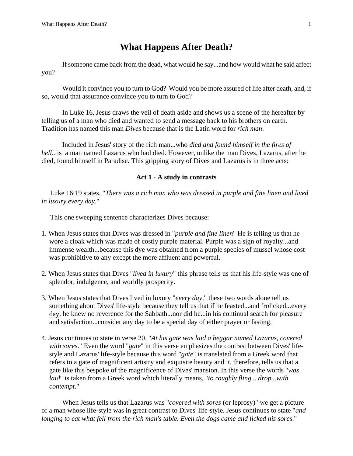## **What Happens After Death?**

If someone came back from the dead, what would he say...and how would what he said affect you?

Would it convince you to turn to God? Would you be more assured of life after death, and, if so, would that assurance convince you to turn to God?

In Luke 16, Jesus draws the veil of death aside and shows us a scene of the hereafter by telling us of a man who died and wanted to send a message back to his brothers on earth. Tradition has named this man *Dives* because that is the Latin word for *rich man*.

Included in Jesus' story of the rich man...who *died and found himself in the fires of hell...*is a man named Lazarus who had died. However, unlike the man Dives, Lazarus, after he died, found himself in Paradise*.* This gripping story of Dives and Lazarus is in three acts:

## **Act 1 - A study in contrasts**

 Luke 16:19 states, "*There was a rich man who was dressed in purple and fine linen and lived in luxury every day*."

This one sweeping sentence characterizes Dives because:

- 1. When Jesus states that Dives was dressed in "*purple and fine linen*" He is telling us that he wore a cloak which was made of costly purple material. Purple was a sign of royalty...and immense wealth...because this dye was obtained from a purple species of mussel whose cost was prohibitive to any except the more affluent and powerful.
- 2. When Jesus states that Dives "*lived in luxury*" this phrase tells us that his life-style was one of splendor, indulgence, and worldly prosperity.
- 3. When Jesus states that Dives lived in luxury "*every day*," these two words alone tell us something about Dives' life-style because they tell us that if he feasted...and frolicked...every day, he knew no reverence for the Sabbath...nor did he...in his continual search for pleasure and satisfaction...consider any day to be a special day of either prayer or fasting.
- 4. Jesus continues to state in verse 20, "*At his gate was laid a beggar named Lazarus, covered with sores*." Even the word "*gate*" in this verse emphasizes the contrast between Dives' lifestyle and Lazarus' life-style because this word "*gate*" is translated from a Greek word that refers to a gate of magnificent artistry and exquisite beauty and it, therefore, tells us that a gate like this bespoke of the magnificence of Dives' mansion. In this verse the words "*was laid*" is taken from a Greek word which literally means, "*to roughly fling ...drop...with contempt*."

When Jesus tells us that Lazarus was "*covered with sores* (or leprosy)" we get a picture of a man whose life-style was in great contrast to Dives' life-style. Jesus continues to state "*and longing to eat what fell from the rich man's table. Even the dogs came and licked his sores*."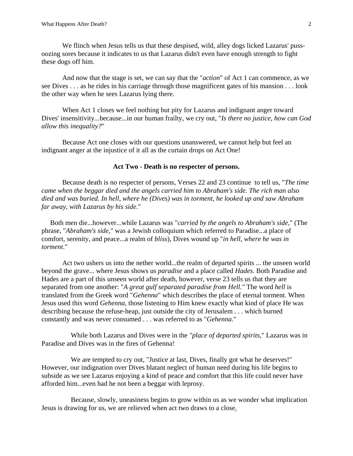We flinch when Jesus tells us that these despised, wild, alley dogs licked Lazarus' pussoozing sores because it indicates to us that Lazarus didn't even have enough strength to fight these dogs off him.

And now that the stage is set, we can say that the "*action*" of Act 1 can commence, as we see Dives . . . as he rides in his carriage through those magnificent gates of his mansion . . . look the other way when he sees Lazarus lying there.

When Act 1 closes we feel nothing but pity for Lazarus and indignant anger toward Dives' insensitivity...because...in our human frailty, we cry out, "*Is there no justice, how can God allow this inequality?*"

 Because Act one closes with our questions unanswered, we cannot help but feel an indignant anger at the injustice of it all as the curtain drops on Act One!

## **Act Two - Death is no respecter of persons.**

Because death is no respecter of persons, Verses 22 and 23 continue to tell us, "*The time came when the beggar died and the angels carried him to Abraham's side. The rich man also died and was buried*. *In hell, where he (Dives) was in torment, he looked up and saw Abraham far away, with Lazarus by his side*."

 Both men die...however...while Lazarus was "*carried by the angels to Abraham's side,*" (The phrase, "*Abraham's side,*" was a Jewish colloquium which referred to Paradise...a place of comfort, serenity, and peace...a realm of *bliss*), Dives wound up "*in hell, where he was in torment*."

Act two ushers us into the nether world...the realm of departed spirits ... the unseen world beyond the grave... where Jesus shows us *paradise* and a place called *Hades*. Both Paradise and Hades are a part of this unseen world after death, however, verse 23 tells us that they are separated from one another: "*A great gulf separated paradise from Hell."* The word *hell* is translated from the Greek word "*Gehenna*" which describes the place of eternal torment. When Jesus used this word *Gehenna*, those listening to Him knew exactly what kind of place He was describing because the refuse-heap, just outside the city of Jerusalem . . . which burned constantly and was never consumed . . . was referred to as "*Gehenna*."

 While both Lazarus and Dives were in the *"place of departed spirits,*" Lazarus was in Paradise and Dives was in the fires of Gehenna!

We are tempted to cry out, "Justice at last, Dives, finally got what he deserves!" However, our indignation over Dives blatant neglect of human need during his life begins to subside as we see Lazarus enjoying a kind of peace and comfort that this life could never have afforded him...even had he not been a beggar with leprosy.

 Because, slowly, uneasiness begins to grow within us as we wonder what implication Jesus is drawing for us, we are relieved when act two draws to a close.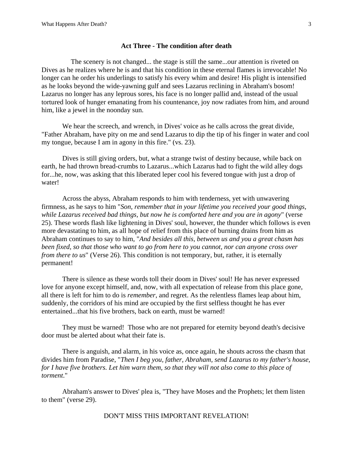## **Act Three - The condition after death**

 The scenery is not changed... the stage is still the same...our attention is riveted on Dives as he realizes where he is and that his condition in these eternal flames is irrevocable! No longer can he order his underlings to satisfy his every whim and desire! His plight is intensified as he looks beyond the wide-yawning gulf and sees Lazarus reclining in Abraham's bosom! Lazarus no longer has any leprous sores, his face is no longer pallid and, instead of the usual tortured look of hunger emanating from his countenance, joy now radiates from him, and around him, like a jewel in the noonday sun.

We hear the screech, and wrench, in Dives' voice as he calls across the great divide, "Father Abraham, have pity on me and send Lazarus to dip the tip of his finger in water and cool my tongue, because I am in agony in this fire." (vs. 23).

Dives is still giving orders, but, what a strange twist of destiny because, while back on earth, he had thrown bread-crumbs to Lazarus...which Lazarus had to fight the wild alley dogs for...he, now, was asking that this liberated leper cool his fevered tongue with just a drop of water!

Across the abyss, Abraham responds to him with tenderness, yet with unwavering firmness, as he says to him "*Son, remember that in your lifetime you received your good things, while Lazarus received bad things, but now he is comforted here and you are in agony*" (verse 25). These words flash like lightening in Dives' soul, however, the thunder which follows is even more devastating to him, as all hope of relief from this place of burning drains from him as Abraham continues to say to him, "*And besides all this, between us and you a great chasm has been fixed, so that those who want to go from here to you cannot, nor can anyone cross over from there to us*" (Verse 26). This condition is not temporary, but, rather, it is eternally permanent!

There is silence as these words toll their doom in Dives' soul! He has never expressed love for anyone except himself, and, now, with all expectation of release from this place gone, all there is left for him to do is *remember*, and regret. As the relentless flames leap about him, suddenly, the corridors of his mind are occupied by the first selfless thought he has ever entertained...that his five brothers, back on earth, must be warned!

They must be warned! Those who are not prepared for eternity beyond death's decisive door must be alerted about what their fate is.

There is anguish, and alarm, in his voice as, once again, he shouts across the chasm that divides him from Paradise, "*Then I beg you, father, Abraham, send Lazarus to my father's house, for I have five brothers. Let him warn them, so that they will not also come to this place of torment*."

Abraham's answer to Dives' plea is, "They have Moses and the Prophets; let them listen to them" (verse 29).

DON'T MISS THIS IMPORTANT REVELATION!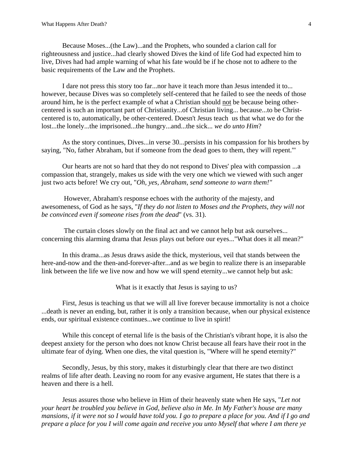Because Moses...(the Law)...and the Prophets, who sounded a clarion call for righteousness and justice...had clearly showed Dives the kind of life God had expected him to live, Dives had had ample warning of what his fate would be if he chose not to adhere to the basic requirements of the Law and the Prophets.

I dare not press this story too far...nor have it teach more than Jesus intended it to... however, because Dives was so completely self-centered that he failed to see the needs of those around him, he is the perfect example of what a Christian should not be because being othercentered is such an important part of Christianity...of Christian living... because...to be Christcentered is to, automatically, be other-centered. Doesn't Jesus teach us that what we do for the lost...the lonely...the imprisoned...the hungry...and...the sick... *we do unto Him*?

As the story continues, Dives...in verse 30...persists in his compassion for his brothers by saying, "No, father Abraham, but if someone from the dead goes to them, they will repent.'"

Our hearts are not so hard that they do not respond to Dives' plea with compassion ...a compassion that, strangely, makes us side with the very one which we viewed with such anger just two acts before! We cry out, "*Oh, yes, Abraham, send someone to warn them!"*

 However, Abraham's response echoes with the authority of the majesty, and awesomeness, of God as he says, "*If they do not listen to Moses and the Prophets, they will not be convinced even if someone rises from the dead*" (vs. 31).

 The curtain closes slowly on the final act and we cannot help but ask ourselves... concerning this alarming drama that Jesus plays out before our eyes..."What does it all mean?"

In this drama...as Jesus draws aside the thick, mysterious, veil that stands between the here-and-now and the then-and-forever-after...and as we begin to realize there is an inseparable link between the life we live now and how we will spend eternity...we cannot help but ask:

What is it exactly that Jesus is saying to us?

First, Jesus is teaching us that we will all live forever because immortality is not a choice ...death is never an ending, but, rather it is only a transition because, when our physical existence ends, our spiritual existence continues...we continue to live in spirit!

While this concept of eternal life is the basis of the Christian's vibrant hope, it is also the deepest anxiety for the person who does not know Christ because all fears have their root in the ultimate fear of dying. When one dies, the vital question is, "Where will he spend eternity?"

Secondly, Jesus, by this story, makes it disturbingly clear that there are two distinct realms of life after death. Leaving no room for any evasive argument, He states that there is a heaven and there is a hell.

Jesus assures those who believe in Him of their heavenly state when He says, "*Let not your heart be troubled you believe in God, believe also in Me. In My Father's house are many mansions, if it were not so I would have told you. I go to prepare a place for you. And if I go and prepare a place for you I will come again and receive you unto Myself that where I am there ye*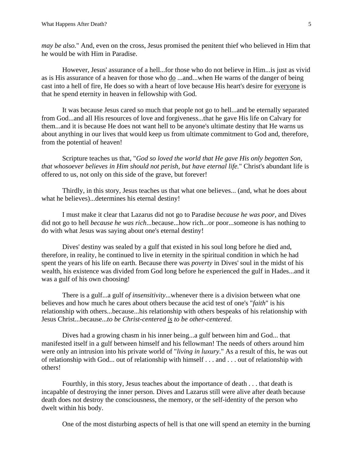*may be also.*" And, even on the cross, Jesus promised the penitent thief who believed in Him that he would be with Him in Paradise.

However, Jesus' assurance of a hell...for those who do not believe in Him...is just as vivid as is His assurance of a heaven for those who <u>do</u> ...and...when He warns of the danger of being cast into a hell of fire, He does so with a heart of love because His heart's desire for everyone is that he spend eternity in heaven in fellowship with God.

It was because Jesus cared so much that people not go to hell...and be eternally separated from God...and all His resources of love and forgiveness...that he gave His life on Calvary for them...and it is because He does not want hell to be anyone's ultimate destiny that He warns us about anything in our lives that would keep us from ultimate commitment to God and, therefore, from the potential of heaven!

Scripture teaches us that, "*God so loved the world that He gave His only begotten Son, that whosoever believes in Him should not perish, but have eternal life.*" Christ's abundant life is offered to us, not only on this side of the grave, but forever!

Thirdly, in this story, Jesus teaches us that what one believes... (and, what he does about what he believes)...determines his eternal destiny!

I must make it clear that Lazarus did not go to Paradise *because he was poor,* and Dives did not go to hell *because he was rich*...because...how rich...or poor...someone is has nothing to do with what Jesus was saying about one's eternal destiny!

Dives' destiny was sealed by a gulf that existed in his soul long before he died and, therefore, in reality, he continued to live in eternity in the spiritual condition in which he had spent the years of his life on earth. Because there was *poverty* in Dives' soul in the midst of his wealth, his existence was divided from God long before he experienced the gulf in Hades...and it was a gulf of his own choosing!

There is a gulf...a gulf *of insensitivity*...whenever there is a division between what one believes and how much he cares about others because the acid test of one's "*faith*" is his relationship with others...because...his relationship with others bespeaks of his relationship with Jesus Christ...because...*to be Christ-centered is to be other-centered*.

Dives had a growing chasm in his inner being...a gulf between him and God... that manifested itself in a gulf between himself and his fellowman! The needs of others around him were only an intrusion into his private world of "*living in luxury*." As a result of this, he was out of relationship with God... out of relationship with himself . . . and . . . out of relationship with others!

Fourthly, in this story, Jesus teaches about the importance of death . . . that death is incapable of destroying the inner person. Dives and Lazarus still were alive after death because death does not destroy the consciousness, the memory, or the self-identity of the person who dwelt within his body.

One of the most disturbing aspects of hell is that one will spend an eternity in the burning